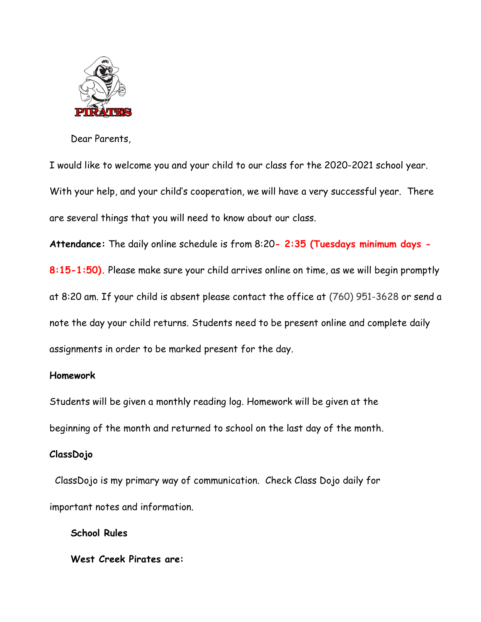

Dear Parents,

I would like to welcome you and your child to our class for the 2020-2021 school year. With your help, and your child's cooperation, we will have a very successful year. There are several things that you will need to know about our class.

**Attendance:** The daily online schedule is from 8:20**- 2:35 (Tuesdays minimum days - 8:15-1:50).** Please make sure your child arrives online on time, as we will begin promptly at 8:20 am. If your child is absent please contact the office at (760) 951-3628 or send a note the day your child returns. Students need to be present online and complete daily assignments in order to be marked present for the day.

#### **Homework**

Students will be given a monthly reading log. Homework will be given at the beginning of the month and returned to school on the last day of the month.

## **ClassDojo**

 ClassDojo is my primary way of communication. Check Class Dojo daily for important notes and information.

**School Rules** 

**West Creek Pirates are:**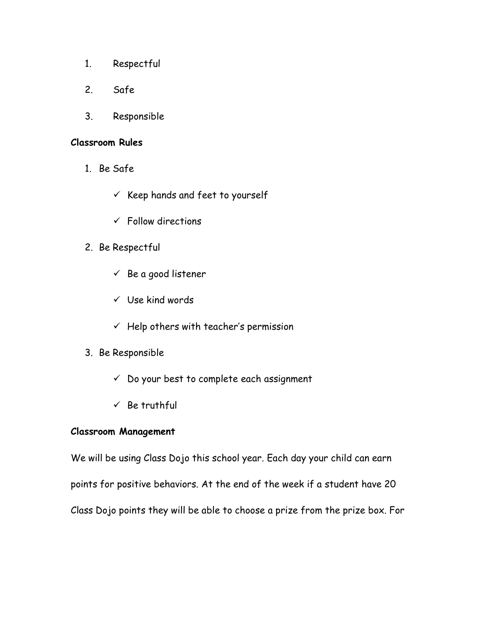- 1. Respectful
- 2. Safe
- 3. Responsible

### **Classroom Rules**

- 1. Be Safe
	- $\checkmark$  Keep hands and feet to yourself
	- $\checkmark$  Follow directions
- 2. Be Respectful
	- $\checkmark$  Be a good listener
	- ✓ Use kind words
	- $\checkmark$  Help others with teacher's permission
- 3. Be Responsible
	- ✓ Do your best to complete each assignment
	- $\checkmark$  Be truthful

## **Classroom Management**

We will be using Class Dojo this school year. Each day your child can earn points for positive behaviors. At the end of the week if a student have 20 Class Dojo points they will be able to choose a prize from the prize box. For